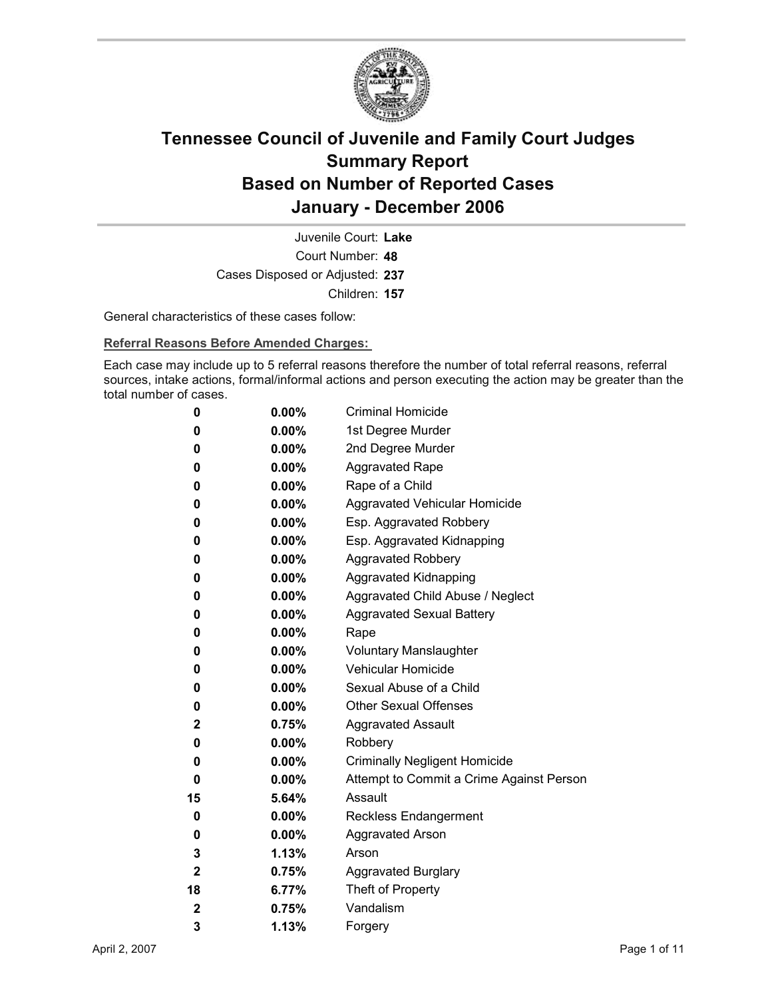

Court Number: **48** Juvenile Court: **Lake** Cases Disposed or Adjusted: **237** Children: **157**

General characteristics of these cases follow:

**Referral Reasons Before Amended Charges:** 

Each case may include up to 5 referral reasons therefore the number of total referral reasons, referral sources, intake actions, formal/informal actions and person executing the action may be greater than the total number of cases.

| 0                       | $0.00\%$ | <b>Criminal Homicide</b>                 |
|-------------------------|----------|------------------------------------------|
| 0                       | $0.00\%$ | 1st Degree Murder                        |
| 0                       | $0.00\%$ | 2nd Degree Murder                        |
| 0                       | $0.00\%$ | <b>Aggravated Rape</b>                   |
| 0                       | $0.00\%$ | Rape of a Child                          |
| 0                       | $0.00\%$ | Aggravated Vehicular Homicide            |
| 0                       | $0.00\%$ | Esp. Aggravated Robbery                  |
| 0                       | $0.00\%$ | Esp. Aggravated Kidnapping               |
| 0                       | $0.00\%$ | <b>Aggravated Robbery</b>                |
| 0                       | $0.00\%$ | <b>Aggravated Kidnapping</b>             |
| 0                       | $0.00\%$ | Aggravated Child Abuse / Neglect         |
| 0                       | $0.00\%$ | <b>Aggravated Sexual Battery</b>         |
| 0                       | $0.00\%$ | Rape                                     |
| 0                       | $0.00\%$ | <b>Voluntary Manslaughter</b>            |
| 0                       | $0.00\%$ | <b>Vehicular Homicide</b>                |
| 0                       | $0.00\%$ | Sexual Abuse of a Child                  |
| 0                       | $0.00\%$ | <b>Other Sexual Offenses</b>             |
| 2                       | 0.75%    | <b>Aggravated Assault</b>                |
| 0                       | $0.00\%$ | Robbery                                  |
| 0                       | $0.00\%$ | <b>Criminally Negligent Homicide</b>     |
| 0                       | $0.00\%$ | Attempt to Commit a Crime Against Person |
| 15                      | 5.64%    | Assault                                  |
| 0                       | $0.00\%$ | <b>Reckless Endangerment</b>             |
| 0                       | $0.00\%$ | <b>Aggravated Arson</b>                  |
| 3                       | 1.13%    | Arson                                    |
| $\overline{\mathbf{2}}$ | 0.75%    | <b>Aggravated Burglary</b>               |
| 18                      | 6.77%    | Theft of Property                        |
| $\mathbf 2$             | 0.75%    | Vandalism                                |
| 3                       | 1.13%    | Forgery                                  |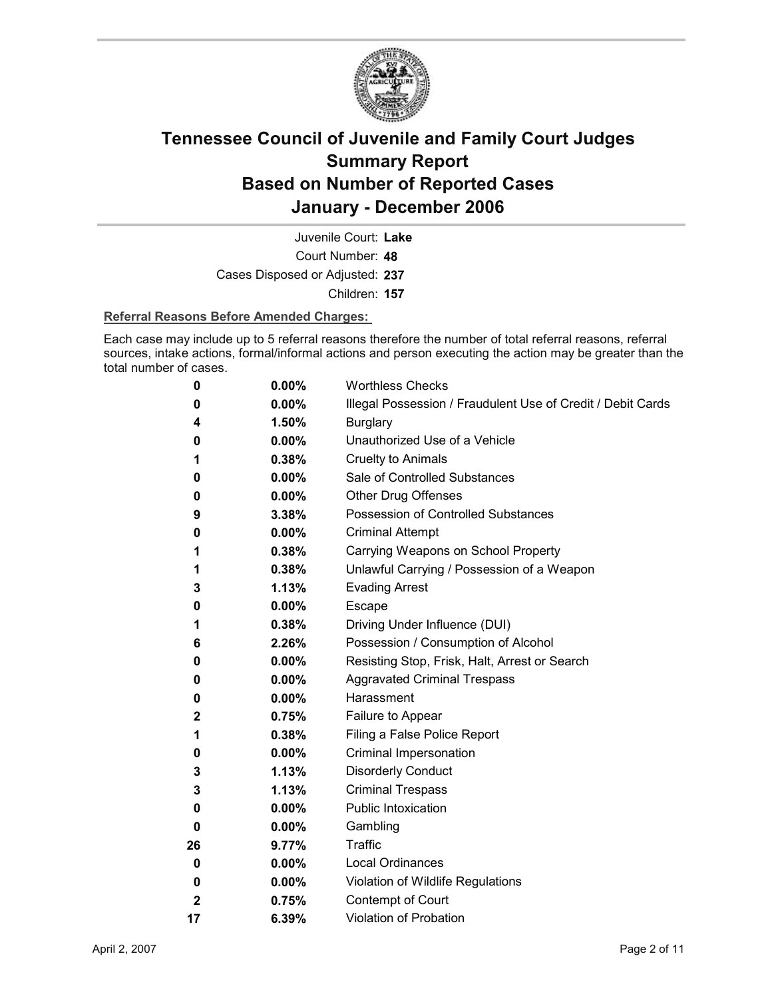

Court Number: **48** Juvenile Court: **Lake** Cases Disposed or Adjusted: **237** Children: **157**

#### **Referral Reasons Before Amended Charges:**

Each case may include up to 5 referral reasons therefore the number of total referral reasons, referral sources, intake actions, formal/informal actions and person executing the action may be greater than the total number of cases.

| 0            | 0.00%    | <b>Worthless Checks</b>                                     |
|--------------|----------|-------------------------------------------------------------|
| 0            | $0.00\%$ | Illegal Possession / Fraudulent Use of Credit / Debit Cards |
| 4            | 1.50%    | <b>Burglary</b>                                             |
| 0            | $0.00\%$ | Unauthorized Use of a Vehicle                               |
| 1            | 0.38%    | <b>Cruelty to Animals</b>                                   |
| 0            | $0.00\%$ | Sale of Controlled Substances                               |
| 0            | $0.00\%$ | Other Drug Offenses                                         |
| 9            | 3.38%    | Possession of Controlled Substances                         |
| 0            | $0.00\%$ | <b>Criminal Attempt</b>                                     |
| 1            | 0.38%    | Carrying Weapons on School Property                         |
| 1            | 0.38%    | Unlawful Carrying / Possession of a Weapon                  |
| 3            | 1.13%    | <b>Evading Arrest</b>                                       |
| 0            | $0.00\%$ | <b>Escape</b>                                               |
| 1            | 0.38%    | Driving Under Influence (DUI)                               |
| 6            | 2.26%    | Possession / Consumption of Alcohol                         |
| 0            | $0.00\%$ | Resisting Stop, Frisk, Halt, Arrest or Search               |
| 0            | 0.00%    | <b>Aggravated Criminal Trespass</b>                         |
| 0            | $0.00\%$ | Harassment                                                  |
| $\mathbf 2$  | 0.75%    | Failure to Appear                                           |
| 1            | 0.38%    | Filing a False Police Report                                |
| 0            | $0.00\%$ | Criminal Impersonation                                      |
| 3            | 1.13%    | <b>Disorderly Conduct</b>                                   |
| 3            | 1.13%    | <b>Criminal Trespass</b>                                    |
| 0            | $0.00\%$ | <b>Public Intoxication</b>                                  |
| 0            | $0.00\%$ | Gambling                                                    |
| 26           | 9.77%    | Traffic                                                     |
| 0            | 0.00%    | <b>Local Ordinances</b>                                     |
| 0            | $0.00\%$ | Violation of Wildlife Regulations                           |
| $\mathbf{2}$ | 0.75%    | Contempt of Court                                           |
| 17           | 6.39%    | Violation of Probation                                      |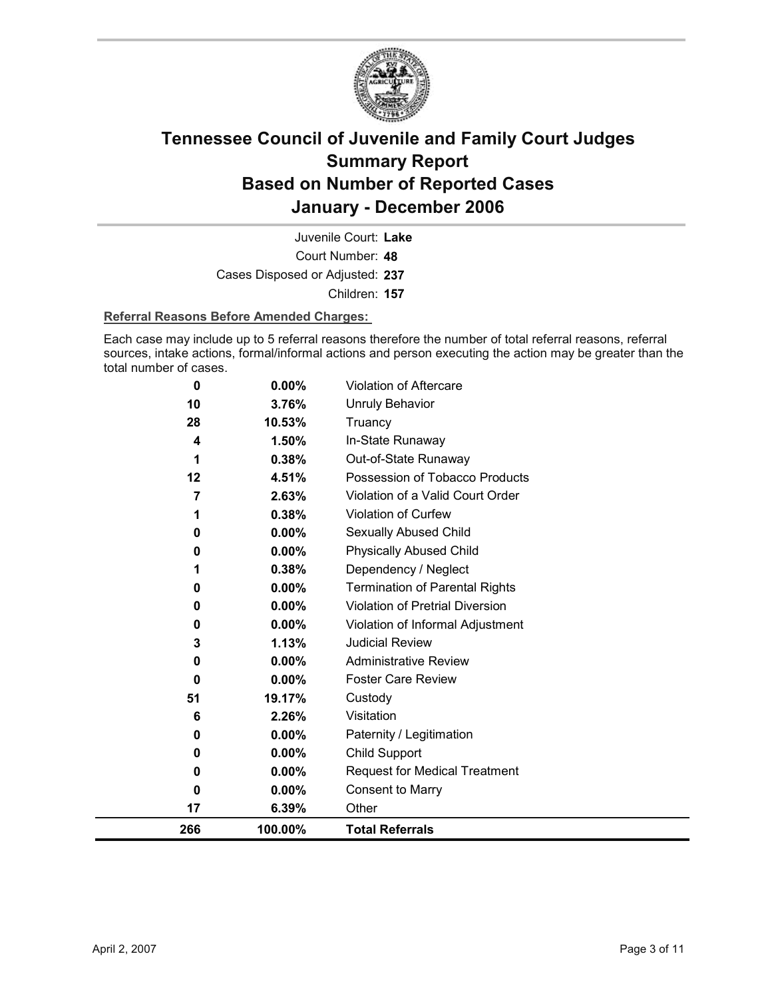

Court Number: **48** Juvenile Court: **Lake** Cases Disposed or Adjusted: **237** Children: **157**

#### **Referral Reasons Before Amended Charges:**

Each case may include up to 5 referral reasons therefore the number of total referral reasons, referral sources, intake actions, formal/informal actions and person executing the action may be greater than the total number of cases.

| 0   | 0.00%    | Violation of Aftercare                 |
|-----|----------|----------------------------------------|
| 10  | 3.76%    | <b>Unruly Behavior</b>                 |
| 28  | 10.53%   | Truancy                                |
| 4   | 1.50%    | In-State Runaway                       |
| 1   | 0.38%    | Out-of-State Runaway                   |
| 12  | 4.51%    | Possession of Tobacco Products         |
| 7   | 2.63%    | Violation of a Valid Court Order       |
| 1   | 0.38%    | Violation of Curfew                    |
| 0   | 0.00%    | Sexually Abused Child                  |
| 0   | 0.00%    | <b>Physically Abused Child</b>         |
|     | 0.38%    | Dependency / Neglect                   |
| 0   | 0.00%    | <b>Termination of Parental Rights</b>  |
| 0   | 0.00%    | <b>Violation of Pretrial Diversion</b> |
| 0   | 0.00%    | Violation of Informal Adjustment       |
| 3   | 1.13%    | <b>Judicial Review</b>                 |
| 0   | 0.00%    | <b>Administrative Review</b>           |
| 0   | $0.00\%$ | <b>Foster Care Review</b>              |
| 51  | 19.17%   | Custody                                |
| 6   | 2.26%    | Visitation                             |
| 0   | 0.00%    | Paternity / Legitimation               |
| 0   | 0.00%    | <b>Child Support</b>                   |
| 0   | 0.00%    | <b>Request for Medical Treatment</b>   |
| 0   | 0.00%    | <b>Consent to Marry</b>                |
| 17  | 6.39%    | Other                                  |
| 266 | 100.00%  | <b>Total Referrals</b>                 |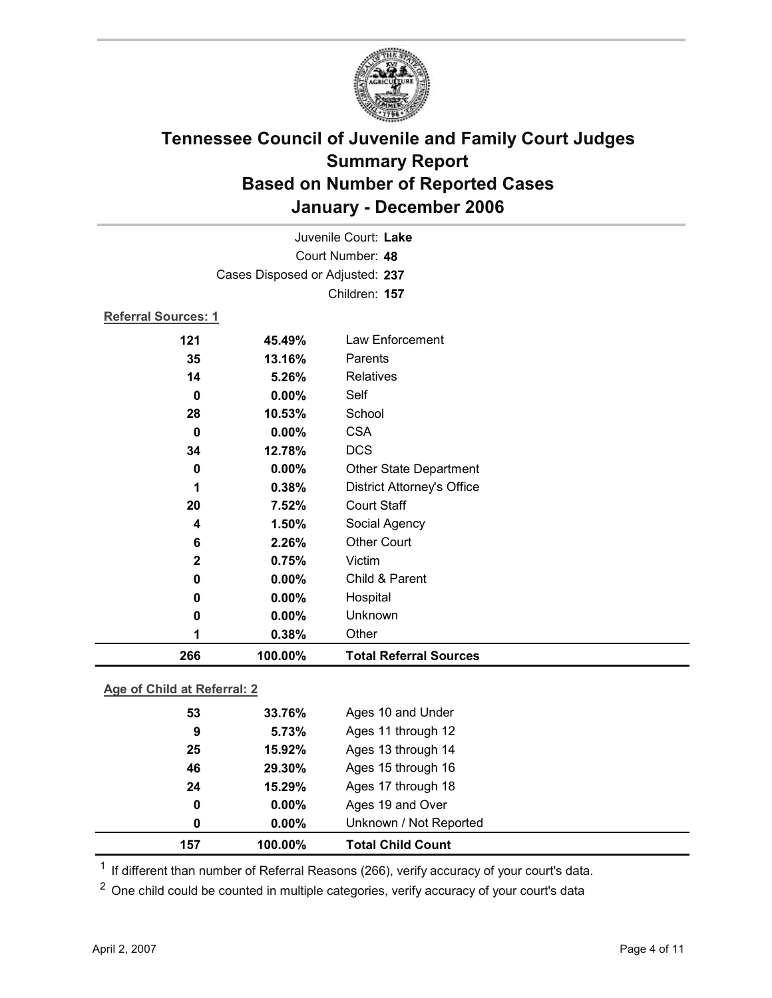

| Juvenile Court: Lake |                                 |                                   |  |
|----------------------|---------------------------------|-----------------------------------|--|
| Court Number: 48     |                                 |                                   |  |
|                      | Cases Disposed or Adjusted: 237 |                                   |  |
|                      |                                 | Children: 157                     |  |
| Referral Sources: 1  |                                 |                                   |  |
| 121                  | 45.49%                          | Law Enforcement                   |  |
| 35                   | 13.16%                          | Parents                           |  |
| 14                   | 5.26%                           | <b>Relatives</b>                  |  |
| $\bf{0}$             | 0.00%                           | Self                              |  |
| 28                   | 10.53%                          | School                            |  |
| $\bf{0}$             | 0.00%                           | <b>CSA</b>                        |  |
| 34                   | 12.78%                          | <b>DCS</b>                        |  |
| 0                    | $0.00\%$                        | Other State Department            |  |
| 1                    | 0.38%                           | <b>District Attorney's Office</b> |  |
| 20                   | 7.52%                           | <b>Court Staff</b>                |  |
| 4                    | 1.50%                           | Social Agency                     |  |
| 6                    | 2.26%                           | <b>Other Court</b>                |  |
| $\mathbf 2$          | 0.75%                           | Victim                            |  |
| $\bf{0}$             | 0.00%                           | Child & Parent                    |  |
| 0                    | 0.00%                           | Hospital                          |  |
| 0                    | 0.00%                           | Unknown                           |  |
| 1                    | 0.38%                           | Other                             |  |
| 266                  | 100.00%                         | <b>Total Referral Sources</b>     |  |

### **Age of Child at Referral: 2**

| 100.00%<br>157 | <b>Total Child Count</b> |
|----------------|--------------------------|
| $0.00\%$<br>0  | Unknown / Not Reported   |
| $0.00\%$<br>0  | Ages 19 and Over         |
| 15.29%<br>24   | Ages 17 through 18       |
| 29.30%<br>46   | Ages 15 through 16       |
| 15.92%<br>25   | Ages 13 through 14       |
| 5.73%<br>9     | Ages 11 through 12       |
| 53<br>33.76%   | Ages 10 and Under        |
|                |                          |

<sup>1</sup> If different than number of Referral Reasons (266), verify accuracy of your court's data.

<sup>2</sup> One child could be counted in multiple categories, verify accuracy of your court's data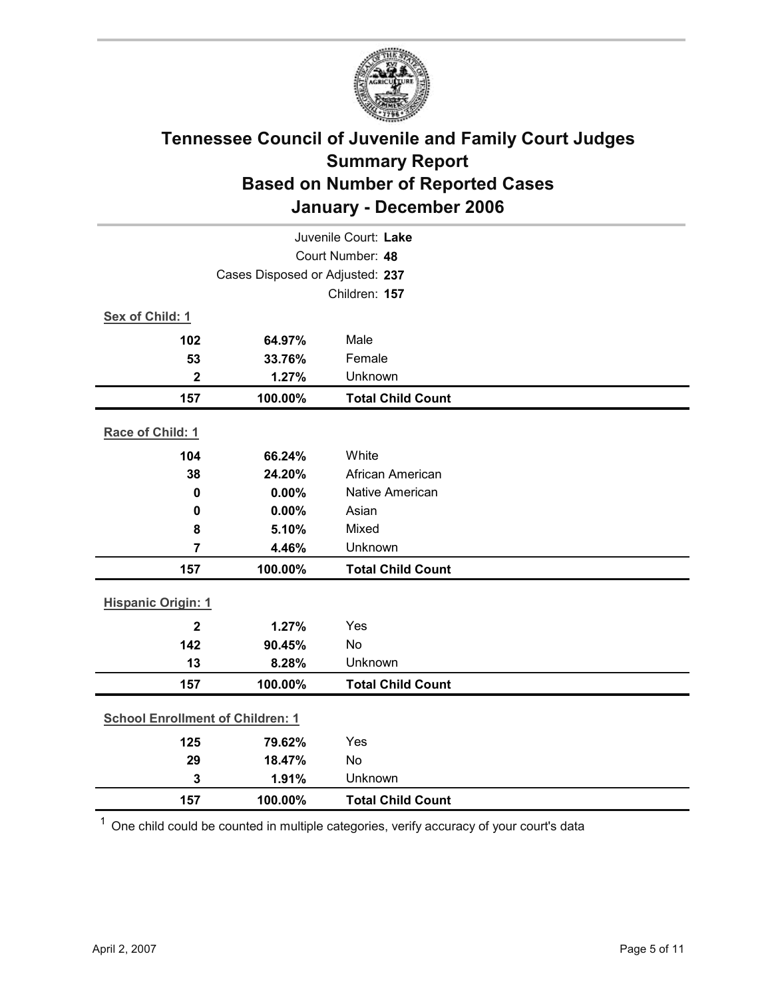

|                           | Juvenile Court: Lake                    |                          |  |  |
|---------------------------|-----------------------------------------|--------------------------|--|--|
| Court Number: 48          |                                         |                          |  |  |
|                           | Cases Disposed or Adjusted: 237         |                          |  |  |
|                           |                                         | Children: 157            |  |  |
| Sex of Child: 1           |                                         |                          |  |  |
| 102                       | 64.97%                                  | Male                     |  |  |
| 53                        | 33.76%                                  | Female                   |  |  |
| $\mathbf 2$               | 1.27%                                   | Unknown                  |  |  |
| 157                       | 100.00%                                 | <b>Total Child Count</b> |  |  |
| Race of Child: 1          |                                         |                          |  |  |
| 104                       | 66.24%                                  | White                    |  |  |
| 38                        | 24.20%                                  | African American         |  |  |
| $\mathbf 0$               | 0.00%                                   | <b>Native American</b>   |  |  |
| $\mathbf 0$               | 0.00%                                   | Asian                    |  |  |
| 8                         | 5.10%                                   | Mixed                    |  |  |
| $\overline{7}$            | 4.46%                                   | Unknown                  |  |  |
| 157                       | 100.00%                                 | <b>Total Child Count</b> |  |  |
| <b>Hispanic Origin: 1</b> |                                         |                          |  |  |
| $\overline{2}$            | 1.27%                                   | Yes                      |  |  |
| 142                       | 90.45%                                  | <b>No</b>                |  |  |
| 13                        | 8.28%                                   | Unknown                  |  |  |
| 157                       | 100.00%                                 | <b>Total Child Count</b> |  |  |
|                           | <b>School Enrollment of Children: 1</b> |                          |  |  |
| 125                       | 79.62%                                  | Yes                      |  |  |
| 29                        | 18.47%                                  | No                       |  |  |
| 3                         | 1.91%                                   | Unknown                  |  |  |
| 157                       | 100.00%                                 | <b>Total Child Count</b> |  |  |
|                           |                                         |                          |  |  |

 $1$  One child could be counted in multiple categories, verify accuracy of your court's data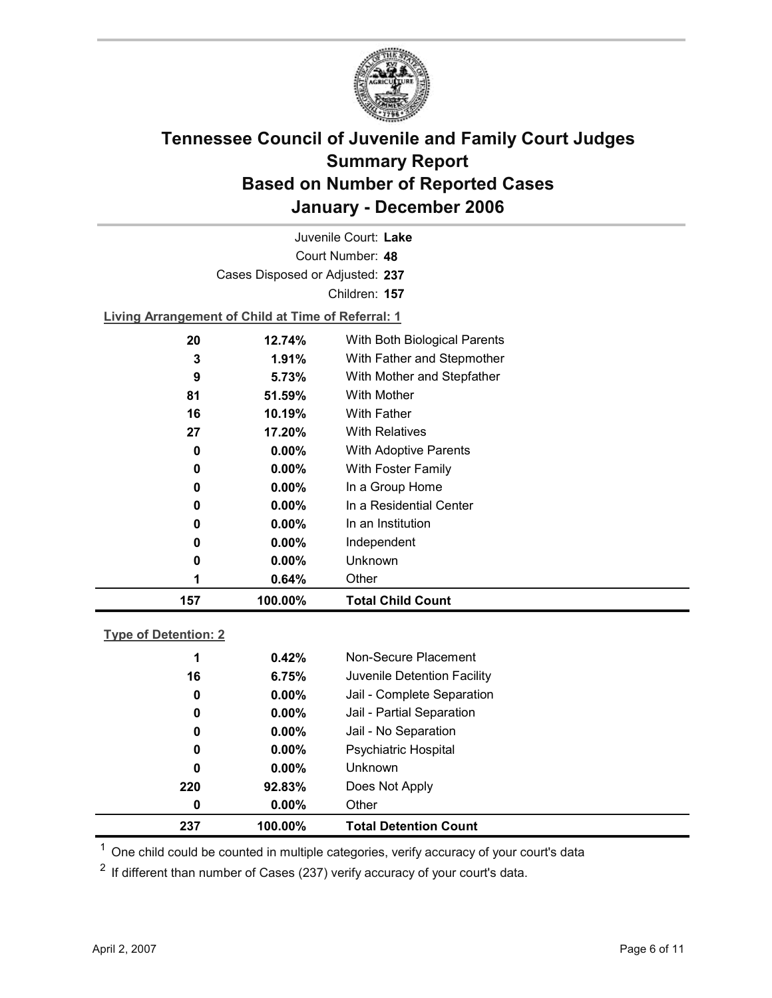

Court Number: **48** Juvenile Court: **Lake** Cases Disposed or Adjusted: **237** Children: **157 Living Arrangement of Child at Time of Referral: 1 20 12.74%** With Both Biological Parents

| 157 | 100.00%  | <b>Total Child Count</b>             |
|-----|----------|--------------------------------------|
|     | 0.64%    | Other                                |
| 0   | $0.00\%$ | Unknown                              |
| 0   | $0.00\%$ | Independent                          |
| 0   | $0.00\%$ | In an Institution                    |
| 0   | $0.00\%$ | In a Residential Center              |
| 0   | $0.00\%$ | In a Group Home                      |
| 0   | $0.00\%$ | With Foster Family                   |
| 0   | $0.00\%$ | <b>With Adoptive Parents</b>         |
| 27  | 17.20%   | <b>With Relatives</b>                |
| 16  | 10.19%   | <b>With Father</b>                   |
| 81  | 51.59%   | <b>With Mother</b>                   |
| 9   | 5.73%    | With Mother and Stepfather           |
| 3   | 1.91%    | With Father and Stepmother           |
| ZU  | 14.747   | <i>vviul Duul Dividyidal Faichio</i> |

#### **Type of Detention: 2**

| 237 | 100.00%  | <b>Total Detention Count</b> |
|-----|----------|------------------------------|
| 0   | $0.00\%$ | Other                        |
| 220 | 92.83%   | Does Not Apply               |
| 0   | $0.00\%$ | <b>Unknown</b>               |
| 0   | $0.00\%$ | <b>Psychiatric Hospital</b>  |
| 0   | $0.00\%$ | Jail - No Separation         |
| 0   | $0.00\%$ | Jail - Partial Separation    |
| 0   | $0.00\%$ | Jail - Complete Separation   |
| 16  | 6.75%    | Juvenile Detention Facility  |
| 1   | 0.42%    | Non-Secure Placement         |
|     |          |                              |

 $<sup>1</sup>$  One child could be counted in multiple categories, verify accuracy of your court's data</sup>

 $2$  If different than number of Cases (237) verify accuracy of your court's data.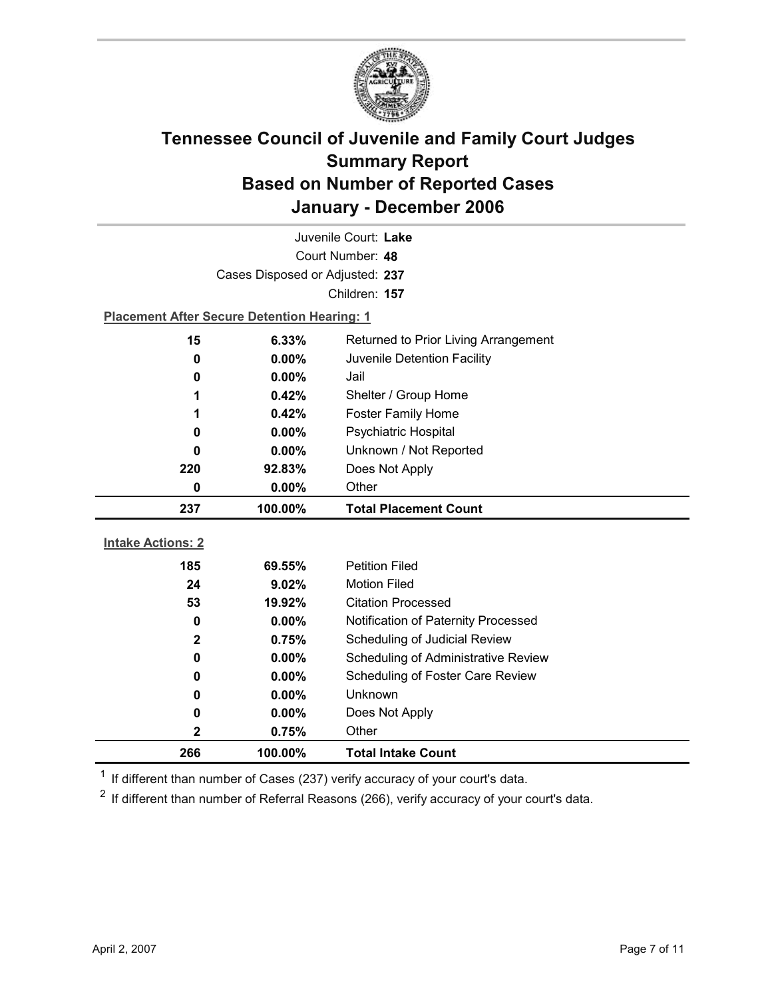

| Juvenile Court: Lake     |                                                    |                                      |  |  |
|--------------------------|----------------------------------------------------|--------------------------------------|--|--|
| Court Number: 48         |                                                    |                                      |  |  |
|                          | Cases Disposed or Adjusted: 237                    |                                      |  |  |
|                          | Children: 157                                      |                                      |  |  |
|                          | <b>Placement After Secure Detention Hearing: 1</b> |                                      |  |  |
| 15                       | 6.33%                                              | Returned to Prior Living Arrangement |  |  |
| $\bf{0}$                 | $0.00\%$                                           | Juvenile Detention Facility          |  |  |
| 0                        | 0.00%                                              | Jail                                 |  |  |
| 1                        | 0.42%                                              | Shelter / Group Home                 |  |  |
| 1                        | 0.42%                                              | <b>Foster Family Home</b>            |  |  |
| 0                        | $0.00\%$                                           | Psychiatric Hospital                 |  |  |
| 0                        | 0.00%                                              | Unknown / Not Reported               |  |  |
| 220                      | 92.83%                                             | Does Not Apply                       |  |  |
| 0                        | 0.00%                                              | Other                                |  |  |
|                          |                                                    |                                      |  |  |
| 237                      | 100.00%                                            | <b>Total Placement Count</b>         |  |  |
|                          |                                                    |                                      |  |  |
| <b>Intake Actions: 2</b> |                                                    |                                      |  |  |
| 185                      | 69.55%                                             | <b>Petition Filed</b>                |  |  |
| 24                       | 9.02%                                              | <b>Motion Filed</b>                  |  |  |
| 53                       | 19.92%                                             | <b>Citation Processed</b>            |  |  |
| 0                        | 0.00%                                              | Notification of Paternity Processed  |  |  |
| $\mathbf 2$              | 0.75%                                              | Scheduling of Judicial Review        |  |  |
| 0                        | 0.00%                                              | Scheduling of Administrative Review  |  |  |
| 0                        | $0.00\%$                                           | Scheduling of Foster Care Review     |  |  |
| 0                        | 0.00%                                              | <b>Unknown</b>                       |  |  |
| 0                        | $0.00\%$                                           | Does Not Apply                       |  |  |
| 2<br>266                 | 0.75%<br>100.00%                                   | Other<br><b>Total Intake Count</b>   |  |  |

 $1$  If different than number of Cases (237) verify accuracy of your court's data.

 $2$  If different than number of Referral Reasons (266), verify accuracy of your court's data.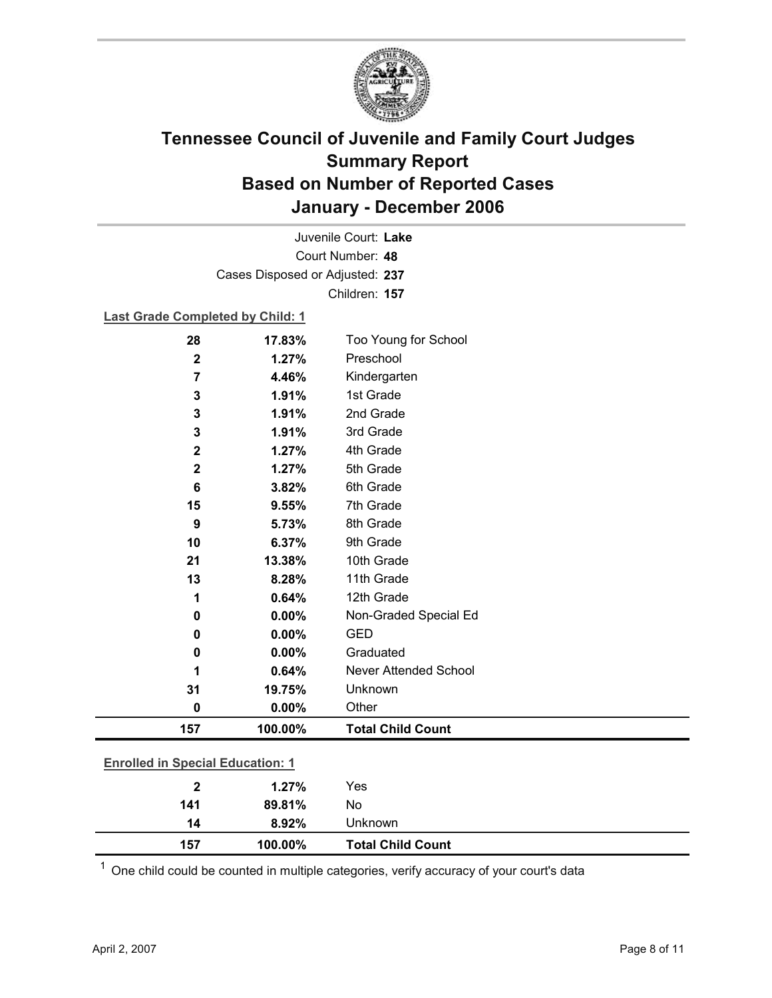

Court Number: **48** Juvenile Court: **Lake** Cases Disposed or Adjusted: **237** Children: **157**

### **Last Grade Completed by Child: 1**

| 28                      | 17.83%                                  | Too Young for School         |  |  |
|-------------------------|-----------------------------------------|------------------------------|--|--|
| $\overline{\mathbf{2}}$ | 1.27%                                   | Preschool                    |  |  |
| 7                       | 4.46%                                   | Kindergarten                 |  |  |
| $\mathbf{3}$            | 1.91%                                   | 1st Grade                    |  |  |
| 3                       | 1.91%                                   | 2nd Grade                    |  |  |
| 3                       | 1.91%                                   | 3rd Grade                    |  |  |
| $\mathbf 2$             | 1.27%                                   | 4th Grade                    |  |  |
| $\mathbf 2$             | 1.27%                                   | 5th Grade                    |  |  |
| $6\phantom{1}6$         | 3.82%                                   | 6th Grade                    |  |  |
| 15                      | 9.55%                                   | 7th Grade                    |  |  |
| 9                       | 5.73%                                   | 8th Grade                    |  |  |
| 10                      | 6.37%                                   | 9th Grade                    |  |  |
| 21                      | 13.38%                                  | 10th Grade                   |  |  |
| 13                      | 8.28%                                   | 11th Grade                   |  |  |
| 1                       | 0.64%                                   | 12th Grade                   |  |  |
| 0                       | 0.00%                                   | Non-Graded Special Ed        |  |  |
| $\bf{0}$                | 0.00%                                   | <b>GED</b>                   |  |  |
| $\bf{0}$                | 0.00%                                   | Graduated                    |  |  |
|                         | 0.64%                                   | <b>Never Attended School</b> |  |  |
| 31                      | 19.75%                                  | Unknown                      |  |  |
| $\pmb{0}$               | 0.00%                                   | Other                        |  |  |
| 157                     | 100.00%                                 | <b>Total Child Count</b>     |  |  |
|                         | <b>Enrolled in Special Education: 1</b> |                              |  |  |
|                         |                                         |                              |  |  |
| $\overline{2}$          | 1.27%                                   | Yes                          |  |  |
| 141                     | 89.81%                                  | No                           |  |  |

 $1$  One child could be counted in multiple categories, verify accuracy of your court's data

**14 8.92%** Unknown

**157 100.00% Total Child Count**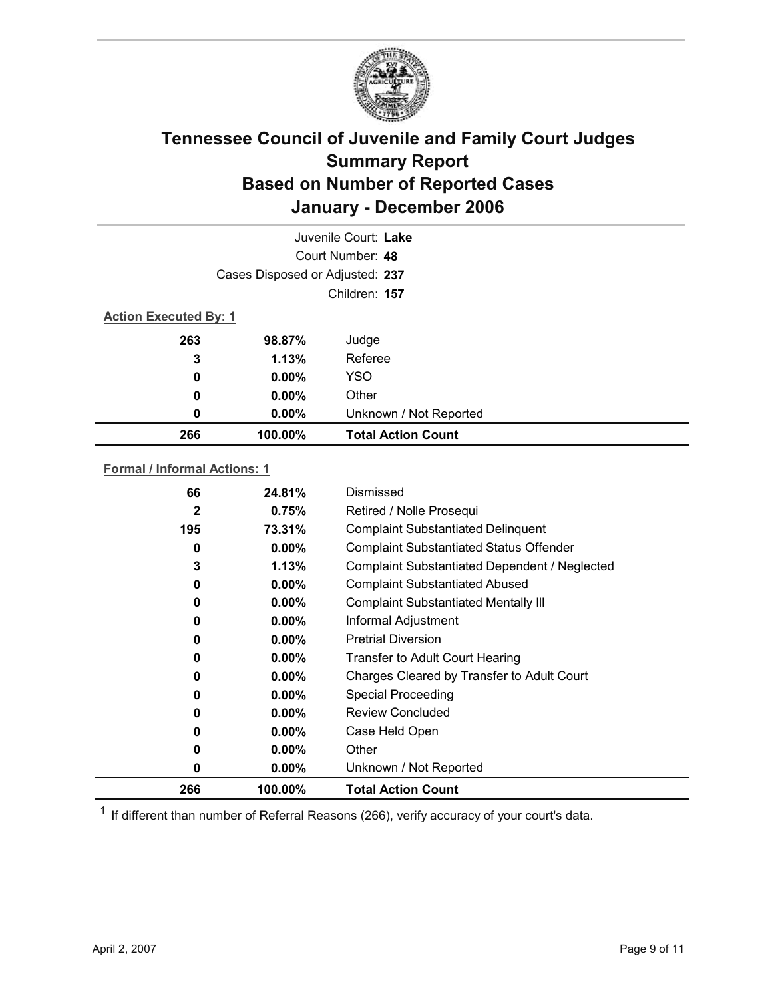

| Juvenile Court: Lake         |                                 |                           |  |  |  |
|------------------------------|---------------------------------|---------------------------|--|--|--|
|                              | Court Number: 48                |                           |  |  |  |
|                              | Cases Disposed or Adjusted: 237 |                           |  |  |  |
|                              | Children: 157                   |                           |  |  |  |
| <b>Action Executed By: 1</b> |                                 |                           |  |  |  |
| 263                          | 98.87%                          | Judge                     |  |  |  |
| 3                            | 1.13%                           | Referee                   |  |  |  |
| 0                            | $0.00\%$                        | <b>YSO</b>                |  |  |  |
| 0                            | $0.00\%$                        | Other                     |  |  |  |
| 0                            | 0.00%                           | Unknown / Not Reported    |  |  |  |
| 266                          | 100.00%                         | <b>Total Action Count</b> |  |  |  |

### **Formal / Informal Actions: 1**

| 66           | 24.81%   | Dismissed                                      |
|--------------|----------|------------------------------------------------|
| $\mathbf{2}$ | 0.75%    | Retired / Nolle Prosequi                       |
| 195          | 73.31%   | <b>Complaint Substantiated Delinquent</b>      |
| 0            | $0.00\%$ | <b>Complaint Substantiated Status Offender</b> |
| 3            | 1.13%    | Complaint Substantiated Dependent / Neglected  |
| 0            | $0.00\%$ | <b>Complaint Substantiated Abused</b>          |
| 0            | $0.00\%$ | <b>Complaint Substantiated Mentally III</b>    |
| 0            | $0.00\%$ | Informal Adjustment                            |
| 0            | $0.00\%$ | <b>Pretrial Diversion</b>                      |
| 0            | $0.00\%$ | Transfer to Adult Court Hearing                |
| 0            | $0.00\%$ | Charges Cleared by Transfer to Adult Court     |
| 0            | $0.00\%$ | <b>Special Proceeding</b>                      |
| 0            | $0.00\%$ | <b>Review Concluded</b>                        |
| 0            | $0.00\%$ | Case Held Open                                 |
| 0            | $0.00\%$ | Other                                          |
| 0            | $0.00\%$ | Unknown / Not Reported                         |
| 266          | 100.00%  | <b>Total Action Count</b>                      |

 $1$  If different than number of Referral Reasons (266), verify accuracy of your court's data.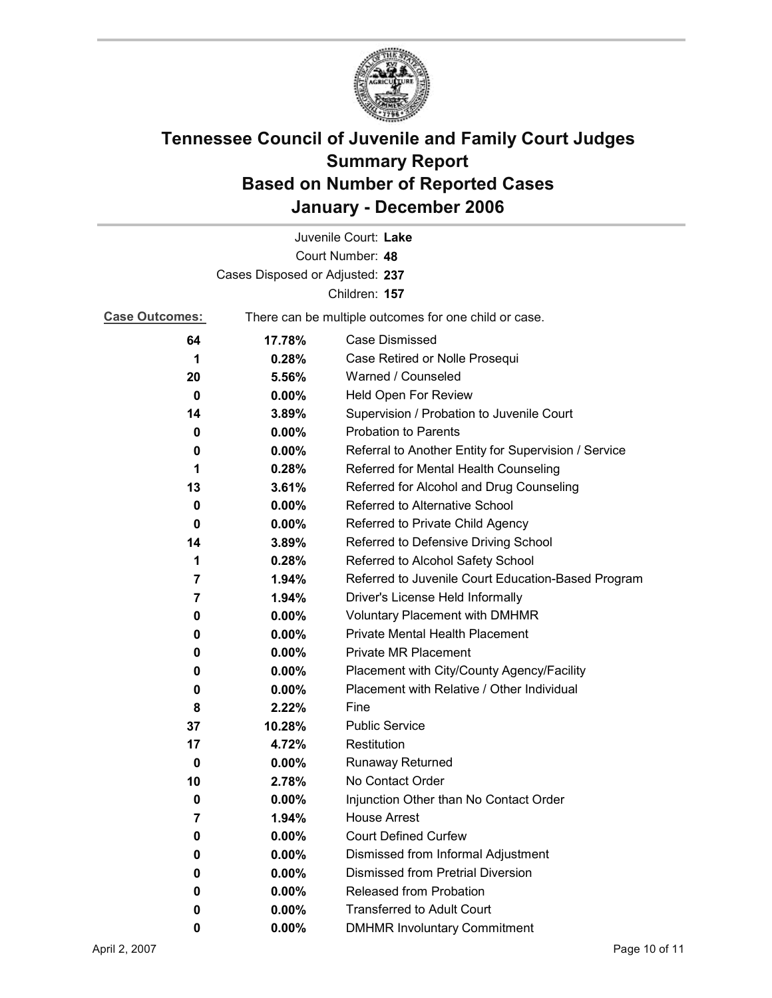

|                                 |                                                       | Juvenile Court: Lake                                 |  |  |
|---------------------------------|-------------------------------------------------------|------------------------------------------------------|--|--|
| Court Number: 48                |                                                       |                                                      |  |  |
| Cases Disposed or Adjusted: 237 |                                                       |                                                      |  |  |
| Children: 157                   |                                                       |                                                      |  |  |
| <b>Case Outcomes:</b>           | There can be multiple outcomes for one child or case. |                                                      |  |  |
| 64                              | 17.78%                                                | <b>Case Dismissed</b>                                |  |  |
| 1                               | 0.28%                                                 | Case Retired or Nolle Prosequi                       |  |  |
| 20                              | 5.56%                                                 | Warned / Counseled                                   |  |  |
| 0                               | 0.00%                                                 | Held Open For Review                                 |  |  |
| 14                              | 3.89%                                                 | Supervision / Probation to Juvenile Court            |  |  |
| 0                               | $0.00\%$                                              | <b>Probation to Parents</b>                          |  |  |
| 0                               | $0.00\%$                                              | Referral to Another Entity for Supervision / Service |  |  |
| 1                               | 0.28%                                                 | Referred for Mental Health Counseling                |  |  |
| 13                              | 3.61%                                                 | Referred for Alcohol and Drug Counseling             |  |  |
| $\bf{0}$                        | $0.00\%$                                              | Referred to Alternative School                       |  |  |
| 0                               | $0.00\%$                                              | Referred to Private Child Agency                     |  |  |
| 14                              | 3.89%                                                 | Referred to Defensive Driving School                 |  |  |
| 1                               | 0.28%                                                 | Referred to Alcohol Safety School                    |  |  |
| 7                               | 1.94%                                                 | Referred to Juvenile Court Education-Based Program   |  |  |
| 7                               | 1.94%                                                 | Driver's License Held Informally                     |  |  |
| 0                               | $0.00\%$                                              | <b>Voluntary Placement with DMHMR</b>                |  |  |
| 0                               | 0.00%                                                 | <b>Private Mental Health Placement</b>               |  |  |
| 0                               | 0.00%                                                 | <b>Private MR Placement</b>                          |  |  |
| 0                               | $0.00\%$                                              | Placement with City/County Agency/Facility           |  |  |
| 0                               | $0.00\%$                                              | Placement with Relative / Other Individual           |  |  |
| 8                               | 2.22%                                                 | Fine                                                 |  |  |
| 37                              | 10.28%                                                | <b>Public Service</b>                                |  |  |
| 17                              | 4.72%                                                 | Restitution                                          |  |  |
| 0                               | $0.00\%$                                              | <b>Runaway Returned</b>                              |  |  |
| 10                              | 2.78%                                                 | No Contact Order                                     |  |  |
| 0                               | 0.00%                                                 | Injunction Other than No Contact Order               |  |  |
| 7                               | 1.94%                                                 | <b>House Arrest</b>                                  |  |  |
| 0                               | $0.00\%$                                              | <b>Court Defined Curfew</b>                          |  |  |
| 0                               | 0.00%                                                 | Dismissed from Informal Adjustment                   |  |  |
| 0                               | 0.00%                                                 | <b>Dismissed from Pretrial Diversion</b>             |  |  |
| 0                               | $0.00\%$                                              | Released from Probation                              |  |  |
| 0                               | $0.00\%$                                              | <b>Transferred to Adult Court</b>                    |  |  |
| 0                               | $0.00\%$                                              | <b>DMHMR Involuntary Commitment</b>                  |  |  |